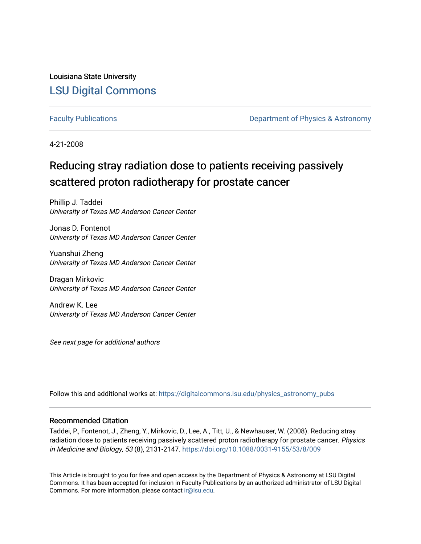Louisiana State University [LSU Digital Commons](https://digitalcommons.lsu.edu/)

[Faculty Publications](https://digitalcommons.lsu.edu/physics_astronomy_pubs) **Exercise 2 and Table 2 and Table 2 and Table 2 and Table 2 and Table 2 and Table 2 and Table 2 and Table 2 and Table 2 and Table 2 and Table 2 and Table 2 and Table 2 and Table 2 and Table 2 and Table** 

4-21-2008

## Reducing stray radiation dose to patients receiving passively scattered proton radiotherapy for prostate cancer

Phillip J. Taddei University of Texas MD Anderson Cancer Center

Jonas D. Fontenot University of Texas MD Anderson Cancer Center

Yuanshui Zheng University of Texas MD Anderson Cancer Center

Dragan Mirkovic University of Texas MD Anderson Cancer Center

Andrew K. Lee University of Texas MD Anderson Cancer Center

See next page for additional authors

Follow this and additional works at: [https://digitalcommons.lsu.edu/physics\\_astronomy\\_pubs](https://digitalcommons.lsu.edu/physics_astronomy_pubs?utm_source=digitalcommons.lsu.edu%2Fphysics_astronomy_pubs%2F3785&utm_medium=PDF&utm_campaign=PDFCoverPages) 

#### Recommended Citation

Taddei, P., Fontenot, J., Zheng, Y., Mirkovic, D., Lee, A., Titt, U., & Newhauser, W. (2008). Reducing stray radiation dose to patients receiving passively scattered proton radiotherapy for prostate cancer. Physics in Medicine and Biology, 53 (8), 2131-2147.<https://doi.org/10.1088/0031-9155/53/8/009>

This Article is brought to you for free and open access by the Department of Physics & Astronomy at LSU Digital Commons. It has been accepted for inclusion in Faculty Publications by an authorized administrator of LSU Digital Commons. For more information, please contact [ir@lsu.edu](mailto:ir@lsu.edu).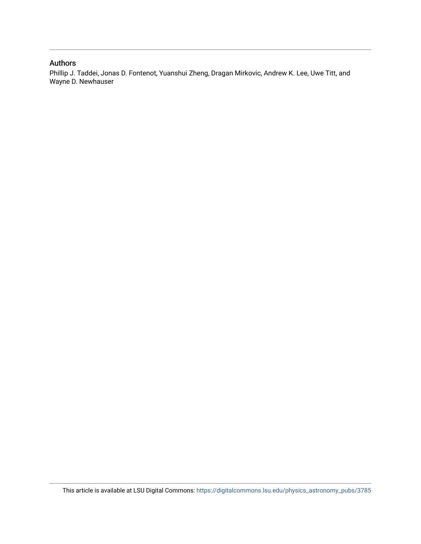#### Authors

Phillip J. Taddei, Jonas D. Fontenot, Yuanshui Zheng, Dragan Mirkovic, Andrew K. Lee, Uwe Titt, and Wayne D. Newhauser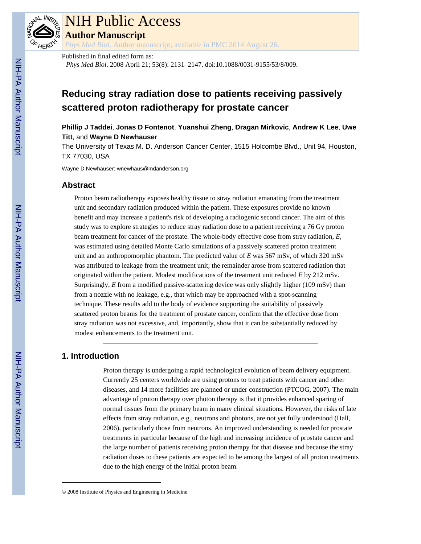

# NIH Public Access

**Author Manuscript**

*Phys Med Biol*. Author manuscript; available in PMC 2014 August 26.

Published in final edited form as:

*Phys Med Biol*. 2008 April 21; 53(8): 2131–2147. doi:10.1088/0031-9155/53/8/009.

### **Reducing stray radiation dose to patients receiving passively scattered proton radiotherapy for prostate cancer**

**Phillip J Taddei**, **Jonas D Fontenot**, **Yuanshui Zheng**, **Dragan Mirkovic**, **Andrew K Lee**, **Uwe Titt**, and **Wayne D Newhauser**

The University of Texas M. D. Anderson Cancer Center, 1515 Holcombe Blvd., Unit 94, Houston, TX 77030, USA

Wayne D Newhauser: wnewhaus@mdanderson.org

#### **Abstract**

Proton beam radiotherapy exposes healthy tissue to stray radiation emanating from the treatment unit and secondary radiation produced within the patient. These exposures provide no known benefit and may increase a patient's risk of developing a radiogenic second cancer. The aim of this study was to explore strategies to reduce stray radiation dose to a patient receiving a 76 Gy proton beam treatment for cancer of the prostate. The whole-body effective dose from stray radiation, *E*, was estimated using detailed Monte Carlo simulations of a passively scattered proton treatment unit and an anthropomorphic phantom. The predicted value of *E* was 567 mSv, of which 320 mSv was attributed to leakage from the treatment unit; the remainder arose from scattered radiation that originated within the patient. Modest modifications of the treatment unit reduced *E* by 212 mSv. Surprisingly, *E* from a modified passive-scattering device was only slightly higher (109 mSv) than from a nozzle with no leakage, e.g., that which may be approached with a spot-scanning technique. These results add to the body of evidence supporting the suitability of passively scattered proton beams for the treatment of prostate cancer, confirm that the effective dose from stray radiation was not excessive, and, importantly, show that it can be substantially reduced by modest enhancements to the treatment unit.

#### **1. Introduction**

Proton therapy is undergoing a rapid technological evolution of beam delivery equipment. Currently 25 centers worldwide are using protons to treat patients with cancer and other diseases, and 14 more facilities are planned or under construction (PTCOG, 2007). The main advantage of proton therapy over photon therapy is that it provides enhanced sparing of normal tissues from the primary beam in many clinical situations. However, the risks of late effects from stray radiation, e.g., neutrons and photons, are not yet fully understood (Hall, 2006), particularly those from neutrons. An improved understanding is needed for prostate treatments in particular because of the high and increasing incidence of prostate cancer and the large number of patients receiving proton therapy for that disease and because the stray radiation doses to these patients are expected to be among the largest of all proton treatments due to the high energy of the initial proton beam.

<sup>© 2008</sup> Institute of Physics and Engineering in Medicine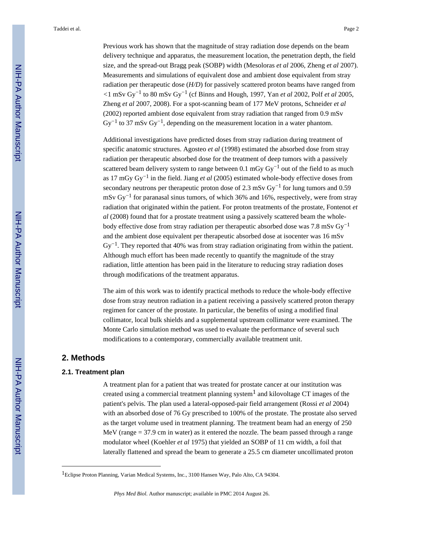Previous work has shown that the magnitude of stray radiation dose depends on the beam delivery technique and apparatus, the measurement location, the penetration depth, the field size, and the spread-out Bragg peak (SOBP) width (Mesoloras *et al* 2006, Zheng *et al* 2007). Measurements and simulations of equivalent dose and ambient dose equivalent from stray radiation per therapeutic dose (*H/D*) for passively scattered proton beams have ranged from *<*1 mSv Gy−1 to 80 mSv Gy−1 (cf Binns and Hough, 1997, Yan *et al* 2002, Polf *et al* 2005, Zheng *et al* 2007, 2008). For a spot-scanning beam of 177 MeV protons, Schneider *et al* (2002) reported ambient dose equivalent from stray radiation that ranged from 0.9 mSv  $Gy^{-1}$  to 37 mSv  $Gy^{-1}$ , depending on the measurement location in a water phantom.

Additional investigations have predicted doses from stray radiation during treatment of specific anatomic structures. Agosteo *et al* (1998) estimated the absorbed dose from stray radiation per therapeutic absorbed dose for the treatment of deep tumors with a passively scattered beam delivery system to range between 0.1 mGy  $\text{Gy}^{-1}$  out of the field to as much as 17 mGy Gy−1 in the field. Jiang *et al* (2005) estimated whole-body effective doses from secondary neutrons per therapeutic proton dose of 2.3 mSv Gy<sup>-1</sup> for lung tumors and 0.59 mSv Gy<sup>-1</sup> for paranasal sinus tumors, of which 36% and 16%, respectively, were from stray radiation that originated within the patient. For proton treatments of the prostate, Fontenot *et al* (2008) found that for a prostate treatment using a passively scattered beam the wholebody effective dose from stray radiation per therapeutic absorbed dose was 7.8 mSv Gy<sup>-1</sup> and the ambient dose equivalent per therapeutic absorbed dose at isocenter was 16 mSv  $\text{Gy}^{-1}$ . They reported that 40% was from stray radiation originating from within the patient. Although much effort has been made recently to quantify the magnitude of the stray radiation, little attention has been paid in the literature to reducing stray radiation doses through modifications of the treatment apparatus.

The aim of this work was to identify practical methods to reduce the whole-body effective dose from stray neutron radiation in a patient receiving a passively scattered proton therapy regimen for cancer of the prostate. In particular, the benefits of using a modified final collimator, local bulk shields and a supplemental upstream collimator were examined. The Monte Carlo simulation method was used to evaluate the performance of several such modifications to a contemporary, commercially available treatment unit.

#### **2. Methods**

#### **2.1. Treatment plan**

A treatment plan for a patient that was treated for prostate cancer at our institution was created using a commercial treatment planning system<sup>1</sup> and kilovoltage CT images of the patient's pelvis. The plan used a lateral-opposed-pair field arrangement (Rossi *et al* 2004) with an absorbed dose of 76 Gy prescribed to 100% of the prostate. The prostate also served as the target volume used in treatment planning. The treatment beam had an energy of 250 MeV (range = 37.9 cm in water) as it entered the nozzle. The beam passed through a range modulator wheel (Koehler *et al* 1975) that yielded an SOBP of 11 cm width, a foil that laterally flattened and spread the beam to generate a 25.5 cm diameter uncollimated proton

<sup>&</sup>lt;sup>1</sup>Eclipse Proton Planning, Varian Medical Systems, Inc., 3100 Hansen Way, Palo Alto, CA 94304.

*Phys Med Biol*. Author manuscript; available in PMC 2014 August 26.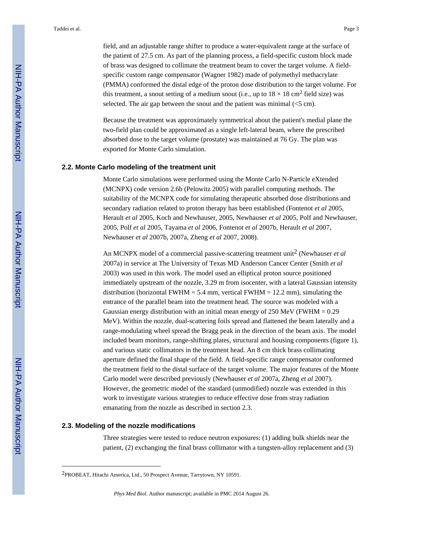field, and an adjustable range shifter to produce a water-equivalent range at the surface of the patient of 27.5 cm. As part of the planning process, a field-specific custom block made of brass was designed to collimate the treatment beam to cover the target volume. A fieldspecific custom range compensator (Wagner 1982) made of polymethyl methacrylate (PMMA) conformed the distal edge of the proton dose distribution to the target volume. For this treatment, a snout setting of a medium snout (i.e., up to  $18 \times 18$  cm<sup>2</sup> field size) was selected. The air gap between the snout and the patient was minimal  $\langle 5 \text{ cm} \rangle$ .

Because the treatment was approximately symmetrical about the patient's medial plane the two-field plan could be approximated as a single left-lateral beam, where the prescribed absorbed dose to the target volume (prostate) was maintained at 76 Gy. The plan was exported for Monte Carlo simulation.

#### **2.2. Monte Carlo modeling of the treatment unit**

Monte Carlo simulations were performed using the Monte Carlo N-Particle eXtended (MCNPX) code version 2.6b (Pelowitz 2005) with parallel computing methods. The suitability of the MCNPX code for simulating therapeutic absorbed dose distributions and secondary radiation related to proton therapy has been established (Fontenot *et al* 2005, Herault *et al* 2005, Koch and Newhauser, 2005, Newhauser *et al* 2005, Polf and Newhauser, 2005, Polf *et al* 2005, Tayama *et al* 2006, Fontenot *et al* 2007b, Herault *et al* 2007, Newhauser *et al* 2007b, 2007a, Zheng *et al* 2007, 2008).

An MCNPX model of a commercial passive-scattering treatment unit<sup>2</sup> (Newhauser *et al* 2007a) in service at The University of Texas MD Anderson Cancer Center (Smith *et al* 2003) was used in this work. The model used an elliptical proton source positioned immediately upstream of the nozzle, 3.29 m from isocenter, with a lateral Gaussian intensity distribution (horizontal FWHM = 5.4 mm, vertical FWHM = 12.2 mm), simulating the entrance of the parallel beam into the treatment head. The source was modeled with a Gaussian energy distribution with an initial mean energy of 250 MeV (FWHM =  $0.29$ ) MeV). Within the nozzle, dual-scattering foils spread and flattened the beam laterally and a range-modulating wheel spread the Bragg peak in the direction of the beam axis. The model included beam monitors, range-shifting plates, structural and housing components (figure 1), and various static collimators in the treatment head. An 8 cm thick brass collimating aperture defined the final shape of the field. A field-specific range compensator conformed the treatment field to the distal surface of the target volume. The major features of the Monte Carlo model were described previously (Newhauser *et al* 2007a, Zheng *et al* 2007). However, the geometric model of the standard (unmodified) nozzle was extended in this work to investigate various strategies to reduce effective dose from stray radiation emanating from the nozzle as described in section 2.3.

#### **2.3. Modeling of the nozzle modifications**

Three strategies were tested to reduce neutron exposures: (1) adding bulk shields near the patient, (2) exchanging the final brass collimator with a tungsten-alloy replacement and (3)

<sup>2</sup>PROBEAT, Hitachi America, Ltd., 50 Prospect Avenue, Tarrytown, NY 10591.

*Phys Med Biol*. Author manuscript; available in PMC 2014 August 26.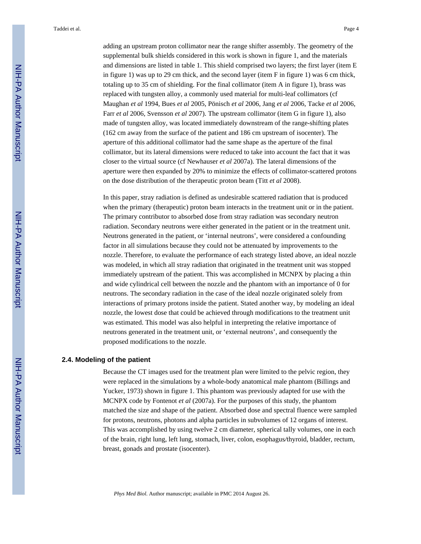adding an upstream proton collimator near the range shifter assembly. The geometry of the supplemental bulk shields considered in this work is shown in figure 1, and the materials and dimensions are listed in table 1. This shield comprised two layers; the first layer (item E in figure 1) was up to 29 cm thick, and the second layer (item F in figure 1) was 6 cm thick, totaling up to 35 cm of shielding. For the final collimator (item A in figure 1), brass was replaced with tungsten alloy, a commonly used material for multi-leaf collimators (cf Maughan *et al* 1994, Bues *et al* 2005, Pönisch *et al* 2006, Jang *et al* 2006, Tacke *et al* 2006, Farr *et al* 2006, Svensson *et al* 2007). The upstream collimator (item G in figure 1), also made of tungsten alloy, was located immediately downstream of the range-shifting plates (162 cm away from the surface of the patient and 186 cm upstream of isocenter). The aperture of this additional collimator had the same shape as the aperture of the final collimator, but its lateral dimensions were reduced to take into account the fact that it was closer to the virtual source (cf Newhauser *et al* 2007a). The lateral dimensions of the aperture were then expanded by 20% to minimize the effects of collimator-scattered protons on the dose distribution of the therapeutic proton beam (Titt *et al* 2008).

In this paper, stray radiation is defined as undesirable scattered radiation that is produced when the primary (therapeutic) proton beam interacts in the treatment unit or in the patient. The primary contributor to absorbed dose from stray radiation was secondary neutron radiation. Secondary neutrons were either generated in the patient or in the treatment unit. Neutrons generated in the patient, or 'internal neutrons', were considered a confounding factor in all simulations because they could not be attenuated by improvements to the nozzle. Therefore, to evaluate the performance of each strategy listed above, an ideal nozzle was modeled, in which all stray radiation that originated in the treatment unit was stopped immediately upstream of the patient. This was accomplished in MCNPX by placing a thin and wide cylindrical cell between the nozzle and the phantom with an importance of 0 for neutrons. The secondary radiation in the case of the ideal nozzle originated solely from interactions of primary protons inside the patient. Stated another way, by modeling an ideal nozzle, the lowest dose that could be achieved through modifications to the treatment unit was estimated. This model was also helpful in interpreting the relative importance of neutrons generated in the treatment unit, or 'external neutrons', and consequently the proposed modifications to the nozzle.

#### **2.4. Modeling of the patient**

Because the CT images used for the treatment plan were limited to the pelvic region, they were replaced in the simulations by a whole-body anatomical male phantom (Billings and Yucker, 1973) shown in figure 1. This phantom was previously adapted for use with the MCNPX code by Fontenot *et al* (2007a). For the purposes of this study, the phantom matched the size and shape of the patient. Absorbed dose and spectral fluence were sampled for protons, neutrons, photons and alpha particles in subvolumes of 12 organs of interest. This was accomplished by using twelve 2 cm diameter, spherical tally volumes, one in each of the brain, right lung, left lung, stomach, liver, colon, esophagus*/*thyroid, bladder, rectum, breast, gonads and prostate (isocenter).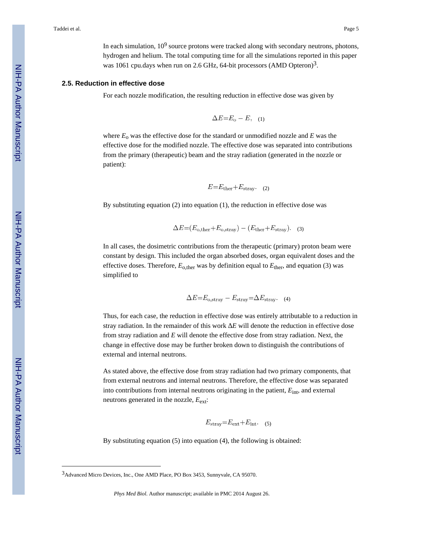In each simulation,  $10^9$  source protons were tracked along with secondary neutrons, photons, hydrogen and helium. The total computing time for all the simulations reported in this paper was 1061 cpu.days when run on 2.6 GHz, 64-bit processors (AMD Opteron)<sup>3</sup>.

#### **2.5. Reduction in effective dose**

For each nozzle modification, the resulting reduction in effective dose was given by

$$
\Delta E = E_{\rm o} - E, \quad (1)
$$

where  $E_0$  was the effective dose for the standard or unmodified nozzle and  $E$  was the effective dose for the modified nozzle. The effective dose was separated into contributions from the primary (therapeutic) beam and the stray radiation (generated in the nozzle or patient):

$$
E = E_{\text{ther}} + E_{\text{stray}}.
$$
 (2)

By substituting equation (2) into equation (1), the reduction in effective dose was

$$
\Delta E = (E_{\text{o,ther}} + E_{\text{o,stray}}) - (E_{\text{ther}} + E_{\text{stray}}). \quad (3)
$$

In all cases, the dosimetric contributions from the therapeutic (primary) proton beam were constant by design. This included the organ absorbed doses, organ equivalent doses and the effective doses. Therefore,  $E_{\text{other}}$  was by definition equal to  $E_{\text{ther}}$ , and equation (3) was simplified to

$$
\Delta E = E_{\text{o,stray}} - E_{\text{stray}} = \Delta E_{\text{stray}}.
$$
 (4)

Thus, for each case, the reduction in effective dose was entirely attributable to a reduction in stray radiation. In the remainder of this work  $E$  will denote the reduction in effective dose from stray radiation and *E* will denote the effective dose from stray radiation. Next, the change in effective dose may be further broken down to distinguish the contributions of external and internal neutrons.

As stated above, the effective dose from stray radiation had two primary components, that from external neutrons and internal neutrons. Therefore, the effective dose was separated into contributions from internal neutrons originating in the patient, *E*int, and external neutrons generated in the nozzle,  $E_{ext}$ :

$$
E_{\text{stray}} = E_{\text{ext}} + E_{\text{int}}.
$$
 (5)

By substituting equation (5) into equation (4), the following is obtained:

<sup>3</sup>Advanced Micro Devices, Inc., One AMD Place, PO Box 3453, Sunnyvale, CA 95070.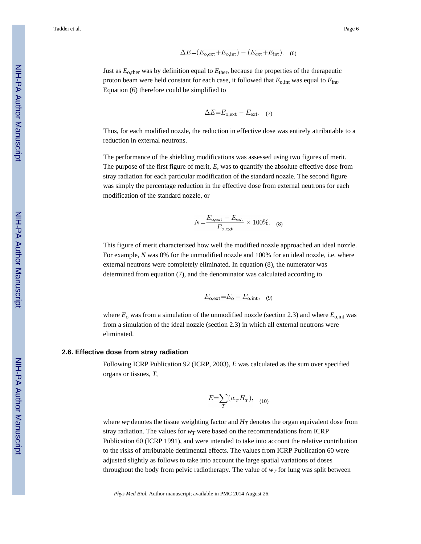$$
\Delta E = (E_{\text{o,ext}} + E_{\text{o,int}}) - (E_{\text{ext}} + E_{\text{int}}). \quad (6)
$$

Just as  $E_{\text{o,ther}}$  was by definition equal to  $E_{\text{ther}}$ , because the properties of the therapeutic proton beam were held constant for each case, it followed that  $E_{\text{o,int}}$  was equal to  $E_{\text{int}}$ . Equation (6) therefore could be simplified to

$$
\Delta E = E_{\text{o,ext}} - E_{\text{ext}}.
$$
 (7)

Thus, for each modified nozzle, the reduction in effective dose was entirely attributable to a reduction in external neutrons.

The performance of the shielding modifications was assessed using two figures of merit. The purpose of the first figure of merit, *E,* was to quantify the absolute effective dose from stray radiation for each particular modification of the standard nozzle. The second figure was simply the percentage reduction in the effective dose from external neutrons for each modification of the standard nozzle, or

$$
N = \frac{E_{\text{o,ext}} - E_{\text{ext}}}{E_{\text{o,ext}}} \times 100\%.
$$
 (8)

This figure of merit characterized how well the modified nozzle approached an ideal nozzle. For example, *N* was 0% for the unmodified nozzle and 100% for an ideal nozzle, i.e. where external neutrons were completely eliminated. In equation (8), the numerator was determined from equation (7), and the denominator was calculated according to

$$
E_{\text{o,ext}} = E_{\text{o}} - E_{\text{o,int}}, \quad (9)
$$

where  $E_0$  was from a simulation of the unmodified nozzle (section 2.3) and where  $E_{o,int}$  was from a simulation of the ideal nozzle (section 2.3) in which all external neutrons were eliminated.

#### **2.6. Effective dose from stray radiation**

Following ICRP Publication 92 (ICRP, 2003), *E* was calculated as the sum over specified organs or tissues, *T,*

$$
E=\sum_{T}(w_{T}H_{T}),\quad(10)
$$

where  $w_T$  denotes the tissue weighting factor and  $H_T$  denotes the organ equivalent dose from stray radiation. The values for  $w_T$  were based on the recommendations from ICRP Publication 60 (ICRP 1991), and were intended to take into account the relative contribution to the risks of attributable detrimental effects. The values from ICRP Publication 60 were adjusted slightly as follows to take into account the large spatial variations of doses throughout the body from pelvic radiotherapy. The value of  $w<sub>T</sub>$  for lung was split between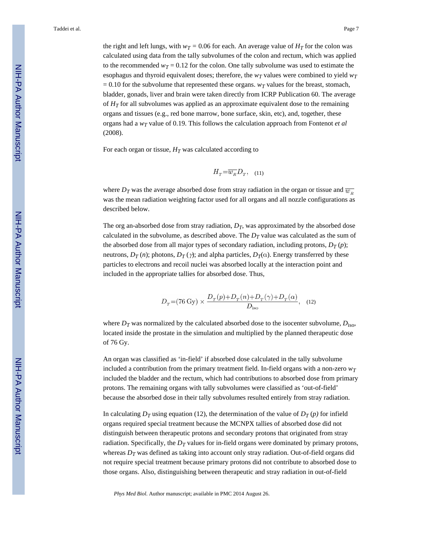the right and left lungs, with  $w_T = 0.06$  for each. An average value of  $H_T$  for the colon was calculated using data from the tally subvolumes of the colon and rectum, which was applied to the recommended  $w_T = 0.12$  for the colon. One tally subvolume was used to estimate the esophagus and thyroid equivalent doses; therefore, the  $w_T$  values were combined to yield  $w_T$  $= 0.10$  for the subvolume that represented these organs. *w<sub>T</sub>* values for the breast, stomach, bladder, gonads, liver and brain were taken directly from ICRP Publication 60. The average of  $H_T$  for all subvolumes was applied as an approximate equivalent dose to the remaining organs and tissues (e.g., red bone marrow, bone surface, skin, etc), and, together, these organs had a *wT* value of 0.19. This follows the calculation approach from Fontenot *et al* (2008).

For each organ or tissue,  $H_T$  was calculated according to

$$
H_T = \overline{w_R} D_T, \quad (11)
$$

where  $D_T$  was the average absorbed dose from stray radiation in the organ or tissue and  $\overline{w_R}$ was the mean radiation weighting factor used for all organs and all nozzle configurations as described below.

The org an-absorbed dose from stray radiation,  $D_T$ , was approximated by the absorbed dose calculated in the subvolume, as described above. The  $D<sub>T</sub>$  value was calculated as the sum of the absorbed dose from all major types of secondary radiation, including protons,  $D_T(p)$ ; neutrons,  $D_T(n)$ ; photons,  $D_T(\gamma)$ ; and alpha particles,  $D_T(\alpha)$ . Energy transferred by these particles to electrons and recoil nuclei was absorbed locally at the interaction point and included in the appropriate tallies for absorbed dose. Thus,

$$
D_T{=}(76\,\text{Gy})\times \frac{D_T(p){+}D_T(n){+}D_T(\gamma){+}D_T(\alpha)}{D_{\text{iso}}},\quad (12)
$$

where  $D_T$  was normalized by the calculated absorbed dose to the isocenter subvolume,  $D_{\text{iso}}$ , located inside the prostate in the simulation and multiplied by the planned therapeutic dose of 76 Gy.

An organ was classified as 'in-field' if absorbed dose calculated in the tally subvolume included a contribution from the primary treatment field. In-field organs with a non-zero  $w_T$ included the bladder and the rectum, which had contributions to absorbed dose from primary protons. The remaining organs with tally subvolumes were classified as 'out-of-field' because the absorbed dose in their tally subvolumes resulted entirely from stray radiation.

In calculating  $D_T$  using equation (12), the determination of the value of  $D_T(p)$  for infield organs required special treatment because the MCNPX tallies of absorbed dose did not distinguish between therapeutic protons and secondary protons that originated from stray radiation. Specifically, the  $D<sub>T</sub>$  values for in-field organs were dominated by primary protons, whereas  $D_T$  was defined as taking into account only stray radiation. Out-of-field organs did not require special treatment because primary protons did not contribute to absorbed dose to those organs. Also, distinguishing between therapeutic and stray radiation in out-of-field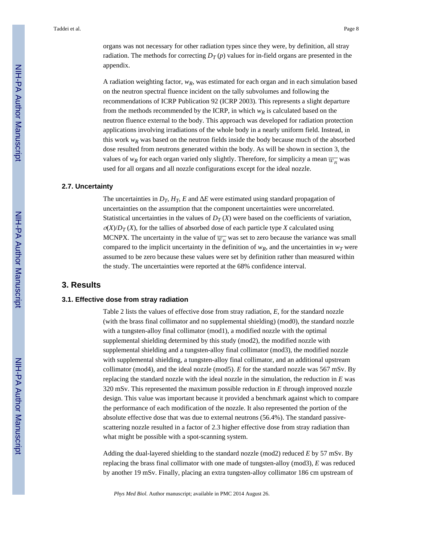organs was not necessary for other radiation types since they were, by definition, all stray radiation. The methods for correcting  $D_T(p)$  values for in-field organs are presented in the appendix.

A radiation weighting factor, *wR*, was estimated for each organ and in each simulation based on the neutron spectral fluence incident on the tally subvolumes and following the recommendations of ICRP Publication 92 (ICRP 2003). This represents a slight departure from the methods recommended by the ICRP, in which  $w_R$  is calculated based on the neutron fluence external to the body. This approach was developed for radiation protection applications involving irradiations of the whole body in a nearly uniform field. Instead, in this work  $w_R$  was based on the neutron fields inside the body because much of the absorbed dose resulted from neutrons generated within the body. As will be shown in section 3, the values of  $w_R$  for each organ varied only slightly. Therefore, for simplicity a mean  $\overline{w_R}$  was used for all organs and all nozzle configurations except for the ideal nozzle.

#### **2.7. Uncertainty**

The uncertainties in  $D_T$ ,  $H_T$ ,  $E$  and  $E$  were estimated using standard propagation of uncertainties on the assumption that the component uncertainties were uncorrelated. Statistical uncertainties in the values of  $D_T(X)$  were based on the coefficients of variation,  $\sigma(X)/D_T(X)$ , for the tallies of absorbed dose of each particle type *X* calculated using MCNPX. The uncertainty in the value of  $\overline{w_R}$  was set to zero because the variance was small compared to the implicit uncertainty in the definition of  $w_R$ , and the uncertainties in  $w_T$  were assumed to be zero because these values were set by definition rather than measured within the study. The uncertainties were reported at the 68% confidence interval.

#### **3. Results**

#### **3.1. Effective dose from stray radiation**

Table 2 lists the values of effective dose from stray radiation, *E,* for the standard nozzle (with the brass final collimator and no supplemental shielding) (mod0), the standard nozzle with a tungsten-alloy final collimator (mod1), a modified nozzle with the optimal supplemental shielding determined by this study (mod2), the modified nozzle with supplemental shielding and a tungsten-alloy final collimator (mod3), the modified nozzle with supplemental shielding, a tungsten-alloy final collimator, and an additional upstream collimator (mod4), and the ideal nozzle (mod5). *E* for the standard nozzle was 567 mSv. By replacing the standard nozzle with the ideal nozzle in the simulation, the reduction in *E* was 320 mSv. This represented the maximum possible reduction in *E* through improved nozzle design. This value was important because it provided a benchmark against which to compare the performance of each modification of the nozzle. It also represented the portion of the absolute effective dose that was due to external neutrons (56.4%). The standard passivescattering nozzle resulted in a factor of 2.3 higher effective dose from stray radiation than what might be possible with a spot-scanning system.

Adding the dual-layered shielding to the standard nozzle (mod2) reduced *E* by 57 mSv. By replacing the brass final collimator with one made of tungsten-alloy (mod3), *E* was reduced by another 19 mSv. Finally, placing an extra tungsten-alloy collimator 186 cm upstream of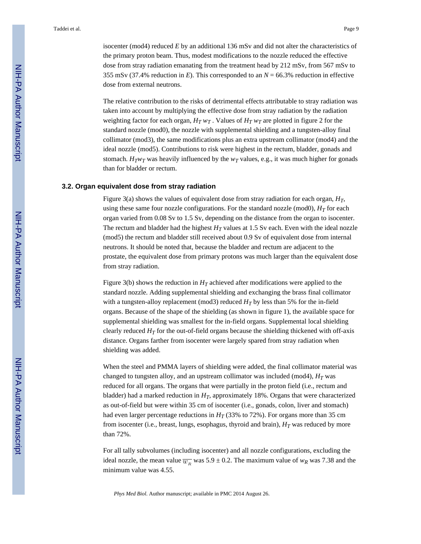isocenter (mod4) reduced *E* by an additional 136 mSv and did not alter the characteristics of the primary proton beam. Thus, modest modifications to the nozzle reduced the effective dose from stray radiation emanating from the treatment head by 212 mSv, from 567 mSv to 355 mSv (37.4% reduction in *E*). This corresponded to an *N* = 66.3% reduction in effective dose from external neutrons.

The relative contribution to the risks of detrimental effects attributable to stray radiation was taken into account by multiplying the effective dose from stray radiation by the radiation weighting factor for each organ,  $H_T w_T$ . Values of  $H_T w_T$  are plotted in figure 2 for the standard nozzle (mod0), the nozzle with supplemental shielding and a tungsten-alloy final collimator (mod3), the same modifications plus an extra upstream collimator (mod4) and the ideal nozzle (mod5). Contributions to risk were highest in the rectum, bladder, gonads and stomach. *H*<sub>*T*</sub>*w*<sub>*T*</sub> was heavily influenced by the *w*<sub>*T*</sub> values, e.g., it was much higher for gonads than for bladder or rectum.

#### **3.2. Organ equivalent dose from stray radiation**

Figure 3(a) shows the values of equivalent dose from stray radiation for each organ, *HT*, using these same four nozzle configurations. For the standard nozzle (mod0),  $H_T$  for each organ varied from 0.08 Sv to 1.5 Sv, depending on the distance from the organ to isocenter. The rectum and bladder had the highest  $H_T$  values at 1.5 Sv each. Even with the ideal nozzle (mod5) the rectum and bladder still received about 0.9 Sv of equivalent dose from internal neutrons. It should be noted that, because the bladder and rectum are adjacent to the prostate, the equivalent dose from primary protons was much larger than the equivalent dose from stray radiation.

Figure 3(b) shows the reduction in  $H_T$  achieved after modifications were applied to the standard nozzle. Adding supplemental shielding and exchanging the brass final collimator with a tungsten-alloy replacement (mod3) reduced  $H_T$  by less than 5% for the in-field organs. Because of the shape of the shielding (as shown in figure 1), the available space for supplemental shielding was smallest for the in-field organs. Supplemental local shielding clearly reduced  $H_T$  for the out-of-field organs because the shielding thickened with off-axis distance. Organs farther from isocenter were largely spared from stray radiation when shielding was added.

When the steel and PMMA layers of shielding were added, the final collimator material was changed to tungsten alloy, and an upstream collimator was included (mod4),  $H_T$  was reduced for all organs. The organs that were partially in the proton field (i.e., rectum and bladder) had a marked reduction in *HT*, approximately 18%. Organs that were characterized as out-of-field but were within 35 cm of isocenter (i.e., gonads, colon, liver and stomach) had even larger percentage reductions in  $H_T$  (33% to 72%). For organs more than 35 cm from isocenter (i.e., breast, lungs, esophagus, thyroid and brain), *HT* was reduced by more than 72%.

For all tally subvolumes (including isocenter) and all nozzle configurations, excluding the ideal nozzle, the mean value  $\overline{w_R}$  was 5.9 ± 0.2. The maximum value of  $w_R$  was 7.38 and the minimum value was 4.55.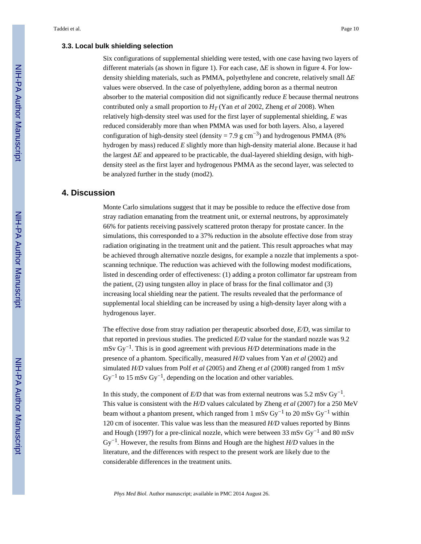#### **3.3. Local bulk shielding selection**

Six configurations of supplemental shielding were tested, with one case having two layers of different materials (as shown in figure 1). For each case, E is shown in figure 4. For lowdensity shielding materials, such as PMMA, polyethylene and concrete, relatively small Δ*E* values were observed. In the case of polyethylene, adding boron as a thermal neutron absorber to the material composition did not significantly reduce *E* because thermal neutrons contributed only a small proportion to  $H_T$  (Yan *et al* 2002, Zheng *et al* 2008). When relatively high-density steel was used for the first layer of supplemental shielding, *E* was reduced considerably more than when PMMA was used for both layers. Also, a layered configuration of high-density steel (density = 7.9 g cm<sup>-3</sup>) and hydrogenous PMMA (8% hydrogen by mass) reduced *E* slightly more than high-density material alone. Because it had the largest *E* and appeared to be practicable, the dual-layered shielding design, with highdensity steel as the first layer and hydrogenous PMMA as the second layer, was selected to be analyzed further in the study (mod2).

#### **4. Discussion**

Monte Carlo simulations suggest that it may be possible to reduce the effective dose from stray radiation emanating from the treatment unit, or external neutrons, by approximately 66% for patients receiving passively scattered proton therapy for prostate cancer. In the simulations, this corresponded to a 37% reduction in the absolute effective dose from stray radiation originating in the treatment unit and the patient. This result approaches what may be achieved through alternative nozzle designs, for example a nozzle that implements a spotscanning technique. The reduction was achieved with the following modest modifications, listed in descending order of effectiveness: (1) adding a proton collimator far upstream from the patient, (2) using tungsten alloy in place of brass for the final collimator and (3) increasing local shielding near the patient. The results revealed that the performance of supplemental local shielding can be increased by using a high-density layer along with a hydrogenous layer.

The effective dose from stray radiation per therapeutic absorbed dose, *E/D*, was similar to that reported in previous studies. The predicted *E/D* value for the standard nozzle was 9.2 mSv Gy−1. This is in good agreement with previous *H/D* determinations made in the presence of a phantom. Specifically, measured *H/D* values from Yan *et al* (2002) and simulated *H/D* values from Polf *et al* (2005) and Zheng *et al* (2008) ranged from 1 mSv  $\text{Gy}^{-1}$  to 15 mSv  $\text{Gy}^{-1}$ , depending on the location and other variables.

In this study, the component of  $E/D$  that was from external neutrons was 5.2 mSv Gy<sup>-1</sup>. This value is consistent with the *H/D* values calculated by Zheng *et al* (2007) for a 250 MeV beam without a phantom present, which ranged from 1 mSv Gy<sup>-1</sup> to 20 mSv Gy<sup>-1</sup> within 120 cm of isocenter. This value was less than the measured *H/D* values reported by Binns and Hough (1997) for a pre-clinical nozzle, which were between 33 mSv Gy−1 and 80 mSv Gy−1. However, the results from Binns and Hough are the highest *H/D* values in the literature, and the differences with respect to the present work are likely due to the considerable differences in the treatment units.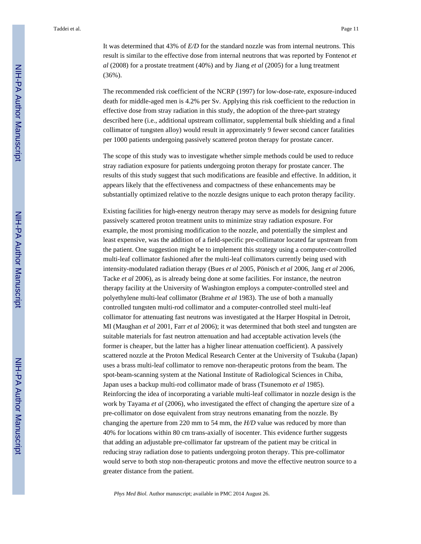It was determined that 43% of *E/D* for the standard nozzle was from internal neutrons. This result is similar to the effective dose from internal neutrons that was reported by Fontenot *et al* (2008) for a prostate treatment (40%) and by Jiang *et al* (2005) for a lung treatment (36%).

The recommended risk coefficient of the NCRP (1997) for low-dose-rate, exposure-induced death for middle-aged men is 4.2% per Sv. Applying this risk coefficient to the reduction in effective dose from stray radiation in this study, the adoption of the three-part strategy described here (i.e., additional upstream collimator, supplemental bulk shielding and a final collimator of tungsten alloy) would result in approximately 9 fewer second cancer fatalities per 1000 patients undergoing passively scattered proton therapy for prostate cancer.

The scope of this study was to investigate whether simple methods could be used to reduce stray radiation exposure for patients undergoing proton therapy for prostate cancer. The results of this study suggest that such modifications are feasible and effective. In addition, it appears likely that the effectiveness and compactness of these enhancements may be substantially optimized relative to the nozzle designs unique to each proton therapy facility.

Existing facilities for high-energy neutron therapy may serve as models for designing future passively scattered proton treatment units to minimize stray radiation exposure. For example, the most promising modification to the nozzle, and potentially the simplest and least expensive, was the addition of a field-specific pre-collimator located far upstream from the patient. One suggestion might be to implement this strategy using a computer-controlled multi-leaf collimator fashioned after the multi-leaf collimators currently being used with intensity-modulated radiation therapy (Bues *et al* 2005, Pönisch *et al* 2006, Jang *et al* 2006, Tacke *et al* 2006), as is already being done at some facilities. For instance, the neutron therapy facility at the University of Washington employs a computer-controlled steel and polyethylene multi-leaf collimator (Brahme *et al* 1983). The use of both a manually controlled tungsten multi-rod collimator and a computer-controlled steel multi-leaf collimator for attenuating fast neutrons was investigated at the Harper Hospital in Detroit, MI (Maughan *et al* 2001, Farr *et al* 2006); it was determined that both steel and tungsten are suitable materials for fast neutron attenuation and had acceptable activation levels (the former is cheaper, but the latter has a higher linear attenuation coefficient). A passively scattered nozzle at the Proton Medical Research Center at the University of Tsukuba (Japan) uses a brass multi-leaf collimator to remove non-therapeutic protons from the beam. The spot-beam-scanning system at the National Institute of Radiological Sciences in Chiba, Japan uses a backup multi-rod collimator made of brass (Tsunemoto *et al* 1985). Reinforcing the idea of incorporating a variable multi-leaf collimator in nozzle design is the work by Tayama *et al* (2006), who investigated the effect of changing the aperture size of a pre-collimator on dose equivalent from stray neutrons emanating from the nozzle. By changing the aperture from 220 mm to 54 mm, the *H/D* value was reduced by more than 40% for locations within 80 cm trans-axially of isocenter. This evidence further suggests that adding an adjustable pre-collimator far upstream of the patient may be critical in reducing stray radiation dose to patients undergoing proton therapy. This pre-collimator would serve to both stop non-therapeutic protons and move the effective neutron source to a greater distance from the patient.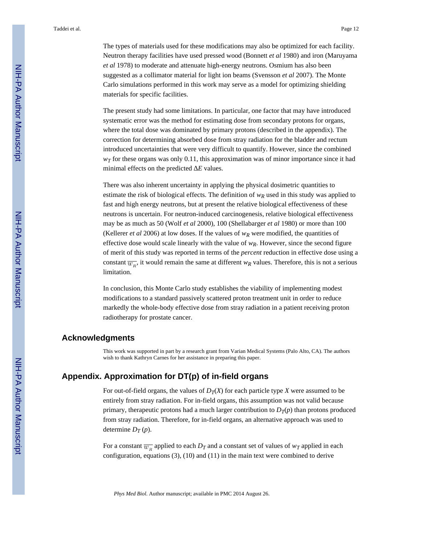The types of materials used for these modifications may also be optimized for each facility. Neutron therapy facilities have used pressed wood (Bonnett *et al* 1980) and iron (Maruyama *et al* 1978) to moderate and attenuate high-energy neutrons. Osmium has also been suggested as a collimator material for light ion beams (Svensson *et al* 2007). The Monte Carlo simulations performed in this work may serve as a model for optimizing shielding materials for specific facilities.

The present study had some limitations. In particular, one factor that may have introduced systematic error was the method for estimating dose from secondary protons for organs, where the total dose was dominated by primary protons (described in the appendix). The correction for determining absorbed dose from stray radiation for the bladder and rectum introduced uncertainties that were very difficult to quantify. However, since the combined *wT* for these organs was only 0.11, this approximation was of minor importance since it had minimal effects on the predicted E values.

There was also inherent uncertainty in applying the physical dosimetric quantities to estimate the risk of biological effects. The definition of  $w_R$  used in this study was applied to fast and high energy neutrons, but at present the relative biological effectiveness of these neutrons is uncertain. For neutron-induced carcinogenesis, relative biological effectiveness may be as much as 50 (Wolf *et al* 2000), 100 (Shellabarger *et al* 1980) or more than 100 (Kellerer *et al* 2006) at low doses. If the values of  $w_R$  were modified, the quantities of effective dose would scale linearly with the value of  $w_R$ . However, since the second figure of merit of this study was reported in terms of the *percent* reduction in effective dose using a constant  $\overline{w}_R$ , it would remain the same at different  $w_R$  values. Therefore, this is not a serious limitation.

In conclusion, this Monte Carlo study establishes the viability of implementing modest modifications to a standard passively scattered proton treatment unit in order to reduce markedly the whole-body effective dose from stray radiation in a patient receiving proton radiotherapy for prostate cancer.

#### **Acknowledgments**

This work was supported in part by a research grant from Varian Medical Systems (Palo Alto, CA). The authors wish to thank Kathryn Carnes for her assistance in preparing this paper.

#### **Appendix. Approximation for DT(p) of in-field organs**

For out-of-field organs, the values of  $D_T(X)$  for each particle type *X* were assumed to be entirely from stray radiation. For in-field organs, this assumption was not valid because primary, therapeutic protons had a much larger contribution to  $D_T(p)$  than protons produced from stray radiation. Therefore, for in-field organs, an alternative approach was used to determine  $D_T(p)$ .

For a constant  $\overline{w_R}$  applied to each  $D_T$  and a constant set of values of  $w_T$  applied in each configuration, equations (3), (10) and (11) in the main text were combined to derive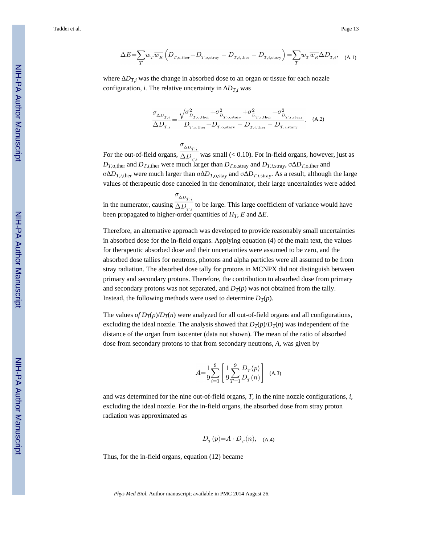$$
\Delta E = \sum_{T} w_{T} \overline{w_{R}} \left( D_{T,\text{o,ther}} + D_{T,\text{o,stray}} - D_{T,i,\text{ther}} - D_{T,i,\text{stary}} \right) = \sum_{T} w_{T} \overline{w_{R}} \Delta D_{T,i}, \quad (A.1)
$$

where  $D_{T,i}$  was the change in absorbed dose to an organ or tissue for each nozzle configuration, *i*. The relative uncertainty in  $D_{T,i}$  was

$$
\frac{\sigma_{\Delta D_{T,i}}}{\Delta D_{T,i}} = \frac{\sqrt{\sigma_{D_{T,\text{o,ther}}}^2 + \sigma_{D_{T,\text{o,star}}}^2 + \sigma_{D_{T,i,\text{ther}}}^2 + \sigma_{D_{T,i,\text{star}}}^2}}{D_{T,\text{o,ther}} + D_{T,\text{o,stary}}} - D_{T,i,\text{ther}} - D_{T,i,\text{stary}}}.
$$
 (A.2)

 $\sigma_{_{\Delta D_{T,i}}}$ For the out-of-field organs,  $\overline{\Delta D_{T,i}}$  was small (< 0.10). For in-field organs, however, just as *D*<sub>*T*</sub>, there and *D*<sub>*T*</sub>,*i*,there were much larger than *D*<sub>*T*</sub>, o,stray</sub> and *D*<sub>*T*</sub>,*i*,stray,  $\sigma$  *D*<sub>*T*</sub>, o,there and σ  $D_{T,i,\text{ther}}$  were much larger than σ  $D_{T,0,\text{stay}}$  and σ  $D_{T,i,\text{stray}}$ . As a result, although the large values of therapeutic dose canceled in the denominator, their large uncertainties were added

in the numerator, causing  $\frac{\sigma_{\Delta D_{T,i}}}{\Delta D_{T,i}}$  to be large. This large coefficient of variance would have been propagated to higher-order quantities of  $H_T$ ,  $E$  and  $E$ .

Therefore, an alternative approach was developed to provide reasonably small uncertainties in absorbed dose for the in-field organs. Applying equation (4) of the main text, the values for therapeutic absorbed dose and their uncertainties were assumed to be zero, and the absorbed dose tallies for neutrons, photons and alpha particles were all assumed to be from stray radiation. The absorbed dose tally for protons in MCNPX did not distinguish between primary and secondary protons. Therefore, the contribution to absorbed dose from primary and secondary protons was not separated, and  $D_T(p)$  was not obtained from the tally. Instead, the following methods were used to determine  $D_T(p)$ .

The values *of*  $D_T(p)/D_T(n)$  were analyzed for all out-of-field organs and all configurations, excluding the ideal nozzle. The analysis showed that  $D_T(p)/D_T(n)$  was independent of the distance of the organ from isocenter (data not shown). The mean of the ratio of absorbed dose from secondary protons to that from secondary neutrons, *A,* was given by

$$
A{=}\frac{1}{9} {\sum\limits_{i=1}^{9} \left[ \frac{1}{9} {\sum\limits_{T=1}^{9} } \frac{D_T(p)}{D_T(n)} \right] }\ \ \, \rm{(A.3)}
$$

and was determined for the nine out-of-field organs, *T,* in the nine nozzle configurations, *i,* excluding the ideal nozzle. For the in-field organs, the absorbed dose from stray proton radiation was approximated as

$$
D_T(p)=A \cdot D_T(n)
$$
, (A.4)

Thus, for the in-field organs, equation (12) became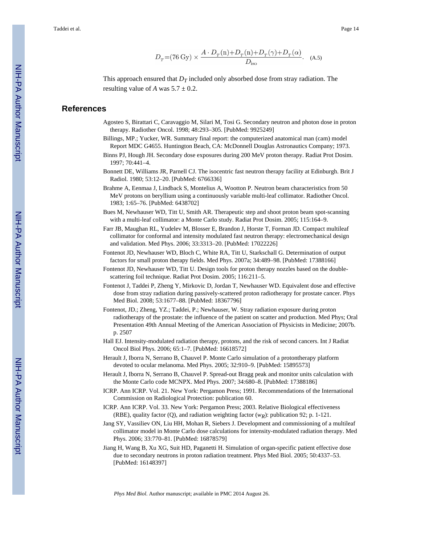$$
D_T{=}(76\,\text{Gy})\times\frac{A\cdot D_T(\text{n}){+}D_T(\text{n}){+}D_T(\gamma){+}D_T(\alpha)}{D_{\text{iso}}}.\quad\text{(A.5)}
$$

This approach ensured that  $D_T$  included only absorbed dose from stray radiation. The resulting value of *A* was  $5.7 \pm 0.2$ .

#### **References**

- Agosteo S, Birattari C, Caravaggio M, Silari M, Tosi G. Secondary neutron and photon dose in proton therapy. Radiother Oncol. 1998; 48:293–305. [PubMed: 9925249]
- Billings, MP.; Yucker, WR. Summary final report: the computerized anatomical man (cam) model Report MDC G4655. Huntington Beach, CA: McDonnell Douglas Astronautics Company; 1973.
- Binns PJ, Hough JH. Secondary dose exposures during 200 MeV proton therapy. Radiat Prot Dosim. 1997; 70:441–4.
- Bonnett DE, Williams JR, Parnell CJ. The isocentric fast neutron therapy facility at Edinburgh. Brit J Radiol. 1980; 53:12–20. [PubMed: 6766336]
- Brahme A, Eenmaa J, Lindback S, Montelius A, Wootton P. Neutron beam characteristics from 50 MeV protons on beryllium using a continuously variable multi-leaf collimator. Radiother Oncol. 1983; 1:65–76. [PubMed: 6438702]
- Bues M, Newhauser WD, Titt U, Smith AR. Therapeutic step and shoot proton beam spot-scanning with a multi-leaf collimator: a Monte Carlo study. Radiat Prot Dosim. 2005; 115:164–9.
- Farr JB, Maughan RL, Yudelev M, Blosser E, Brandon J, Horste T, Forman JD. Compact multileaf collimator for conformal and intensity modulated fast neutron therapy: electromechanical design and validation. Med Phys. 2006; 33:3313–20. [PubMed: 17022226]
- Fontenot JD, Newhauser WD, Bloch C, White RA, Titt U, Starkschall G. Determination of output factors for small proton therapy fields. Med Phys. 2007a; 34:489–98. [PubMed: 17388166]
- Fontenot JD, Newhauser WD, Titt U. Design tools for proton therapy nozzles based on the doublescattering foil technique. Radiat Prot Dosim. 2005; 116:211–5.
- Fontenot J, Taddei P, Zheng Y, Mirkovic D, Jordan T, Newhauser WD. Equivalent dose and effective dose from stray radiation during passively-scattered proton radiotherapy for prostate cancer. Phys Med Biol. 2008; 53:1677–88. [PubMed: 18367796]
- Fontenot, JD.; Zheng, YZ.; Taddei, P.; Newhauser, W. Stray radiation exposure during proton radiotherapy of the prostate: the influence of the patient on scatter and production. Med Phys; Oral Presentation 49th Annual Meeting of the American Association of Physicists in Medicine; 2007b. p. 2507
- Hall EJ. Intensity-modulated radiation therapy, protons, and the risk of second cancers. Int J Radiat Oncol Biol Phys. 2006; 65:1–7. [PubMed: 16618572]
- Herault J, Iborra N, Serrano B, Chauvel P. Monte Carlo simulation of a protontherapy platform devoted to ocular melanoma. Med Phys. 2005; 32:910–9. [PubMed: 15895573]
- Herault J, Iborra N, Serrano B, Chauvel P. Spread-out Bragg peak and monitor units calculation with the Monte Carlo code MCNPX. Med Phys. 2007; 34:680–8. [PubMed: 17388186]
- ICRP. Ann ICRP. Vol. 21. New York: Pergamon Press; 1991. Recommendations of the International Commission on Radiological Protection: publication 60.
- ICRP. Ann ICRP. Vol. 33. New York: Pergamon Press; 2003. Relative Biological effectiveness (RBE), quality factor (Q), and radiation weighting factor (*wR*): publication 92; p. 1-121.
- Jang SY, Vassiliev ON, Liu HH, Mohan R, Siebers J. Development and commissioning of a multileaf collimator model in Monte Carlo dose calculations for intensity-modulated radiation therapy. Med Phys. 2006; 33:770–81. [PubMed: 16878579]
- Jiang H, Wang B, Xu XG, Suit HD, Paganetti H. Simulation of organ-specific patient effective dose due to secondary neutrons in proton radiation treatment. Phys Med Biol. 2005; 50:4337–53. [PubMed: 16148397]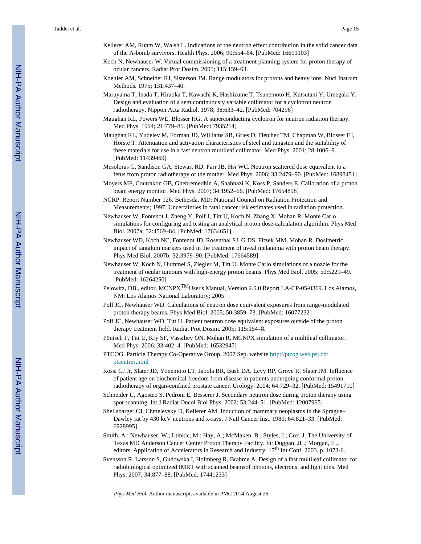- Kellerer AM, Ruhm W, Walsh L. Indications of the neutron effect contribution in the solid cancer data of the A-bomb survivors. Health Phys. 2006; 90:554–64. [PubMed: 16691103]
- Koch N, Newhauser W. Virtual commissioning of a treatment planning system for proton therapy of ocular cancers. Radiat Prot Dosim. 2005; 115:159–63.
- Koehler AM, Schneider RJ, Sisterson JM. Range modulators for protons and heavy ions. Nucl Instrum Methods. 1975; 131:437–40.
- Maruyama T, Inada T, Hiraoka T, Kawachi K, Hashizume T, Tsunemoto H, Kutsutani Y, Umegaki Y. Design and evaluation of a semicontinuously variable collimator for a cyclotron neutron radiotherapy. Nippon Acta Radiol. 1978; 38:633–42. [PubMed: 704296]
- Maughan RL, Powers WE, Blosser HG. A superconducting cyclotron for neutron radiation therapy. Med Phys. 1994; 21:779–85. [PubMed: 7935214]
- Maughan RL, Yudelev M, Forman JD, Williams SB, Gries D, Fletcher TM, Chapman W, Blosser EJ, Horste T. Attenuation and activation characteristics of steel and tungsten and the suitability of these materials for use in a fast neutron multileaf collimator. Med Phys. 2001; 28:1006–9. [PubMed: 11439469]
- Mesoloras G, Sandison GA, Stewart RD, Farr JB, Hsi WC. Neutron scattered dose equivalent to a fetus from proton radiotherapy of the mother. Med Phys. 2006; 33:2479–90. [PubMed: 16898451]
- Moyers MF, Coutrakon GB, Ghebremedhin A, Shahnazi K, Koss P, Sanders E. Calibration of a proton beam energy monitor. Med Phys. 2007; 34:1952–66. [PubMed: 17654898]
- NCRP. Report Number 126. Bethesda, MD: National Council on Radiation Protection and Measurements; 1997. Uncertainties in fatal cancer risk estimates used in radiation protection.
- Newhauser W, Fontenot J, Zheng Y, Polf J, Titt U, Koch N, Zhang X, Mohan R. Monte Carlo simulations for configuring and testing an analytical proton dose-calculation algorithm. Phys Med Biol. 2007a; 52:4569–84. [PubMed: 17634651]
- Newhauser WD, Koch NC, Fontenot JD, Rosenthal SJ, G DS, Fitzek MM, Mohan R. Dosimetric impact of tantalum markers used in the treatment of uveal melanoma with proton beam therapy. Phys Med Biol. 2007b; 52:3979–90. [PubMed: 17664589]
- Newhauser W, Koch N, Hummel S, Ziegler M, Titt U. Monte Carlo simulations of a nozzle for the treatment of ocular tumours with high-energy proton beams. Phys Med Biol. 2005; 50:5229–49. [PubMed: 16264250]
- Pelowitz, DB., editor. MCNPX<sup>TM</sup>User's Manual, Version 2.5.0 Report LA-CP-05-0369. Los Alamos, NM: Los Alamos National Laboratory; 2005.
- Polf JC, Newhauser WD. Calculations of neutron dose equivalent exposures from range-modulated proton therapy beams. Phys Med Biol. 2005; 50:3859–73. [PubMed: 16077232]
- Polf JC, Newhauser WD, Titt U. Patient neutron dose equivalent exposures outside of the proton therapy treatment field. Radiat Prot Dosim. 2005; 115:154–8.
- Pönisch F, Titt U, Kry SF, Vassiliev ON, Mohan R. MCNPX simulation of a multileaf collimator. Med Phys. 2006; 33:402–4. [PubMed: 16532947]
- PTCOG. Particle Therapy Co-Operative Group. 2007 Sep. website [http://ptcog.web.psi.ch/](http://ptcog.web.psi.ch/ptcentres.html) [ptcentres.html](http://ptcog.web.psi.ch/ptcentres.html)
- Rossi CJ Jr, Slater JD, Yonemoto LT, Jabola BR, Bush DA, Levy RP, Grove R, Slater JM. Influence of patient age on biochemical freedom from disease in patients undergoing conformal proton radiotherapy of organ-confined prostate cancer. Urology. 2004; 64:729–32. [PubMed: 15491710]
- Schneider U, Agosteo S, Pedroni E, Besserer J. Secondary neutron dose during proton therapy using spot scanning. Int J Radiat Oncol Biol Phys. 2002; 53:244–51. [PubMed: 12007965]
- Shellabarger CJ, Chmelevsky D, Kellerer AM. Induction of mammary neoplasms in the Sprague– Dawley rat by 430 keV neutrons and x-rays. J Natl Cancer Inst. 1980; 64:821–33. [PubMed: 6928995]
- Smith, A.; Newhauser, W.; Ltinkic, M.; Hay, A.; McMaken, B.; Styles, J.; Cox, J. The University of Texas MD Anderson Cancer Center Proton Therapy Facility. In: Duggan, JL.; Morgan, IL., editors. Application of Accelerators in Research and Industry: 17<sup>th</sup> Int Conf. 2003. p. 1073-6.
- Svensson R, Larsson S, Gudowska I, Holmberg R, Brahme A. Design of a fast multileaf collimator for radiobiological optimized IMRT with scanned beamsof photons, electrons, and light ions. Med Phys. 2007; 34:877–88. [PubMed: 17441233]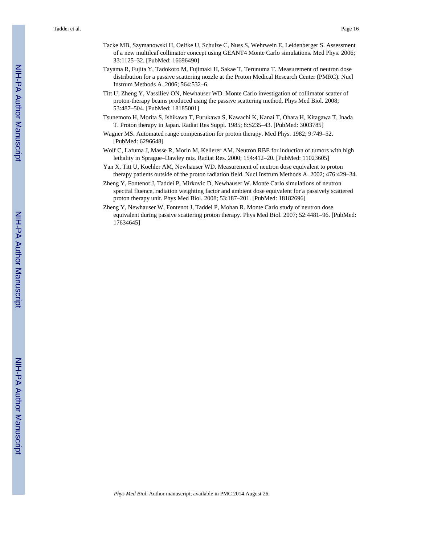- Tacke MB, Szymanowski H, Oelfke U, Schulze C, Nuss S, Wehrwein E, Leidenberger S. Assessment of a new multileaf collimator concept using GEANT4 Monte Carlo simulations. Med Phys. 2006; 33:1125–32. [PubMed: 16696490]
- Tayama R, Fujita Y, Tadokoro M, Fujimaki H, Sakae T, Terunuma T. Measurement of neutron dose distribution for a passive scattering nozzle at the Proton Medical Research Center (PMRC). Nucl Instrum Methods A. 2006; 564:532–6.
- Titt U, Zheng Y, Vassiliev ON, Newhauser WD. Monte Carlo investigation of collimator scatter of proton-therapy beams produced using the passive scattering method. Phys Med Biol. 2008; 53:487–504. [PubMed: 18185001]
- Tsunemoto H, Morita S, Ishikawa T, Furukawa S, Kawachi K, Kanai T, Ohara H, Kitagawa T, Inada T. Proton therapy in Japan. Radiat Res Suppl. 1985; 8:S235–43. [PubMed: 3003785]
- Wagner MS. Automated range compensation for proton therapy. Med Phys. 1982; 9:749–52. [PubMed: 6296648]
- Wolf C, Lafuma J, Masse R, Morin M, Kellerer AM. Neutron RBE for induction of tumors with high lethality in Sprague–Dawley rats. Radiat Res. 2000; 154:412–20. [PubMed: 11023605]
- Yan X, Titt U, Koehler AM, Newhauser WD. Measurement of neutron dose equivalent to proton therapy patients outside of the proton radiation field. Nucl Instrum Methods A. 2002; 476:429–34.
- Zheng Y, Fontenot J, Taddei P, Mirkovic D, Newhauser W. Monte Carlo simulations of neutron spectral fluence, radiation weighting factor and ambient dose equivalent for a passively scattered proton therapy unit. Phys Med Biol. 2008; 53:187–201. [PubMed: 18182696]
- Zheng Y, Newhauser W, Fontenot J, Taddei P, Mohan R. Monte Carlo study of neutron dose equivalent during passive scattering proton therapy. Phys Med Biol. 2007; 52:4481–96. [PubMed: 17634645]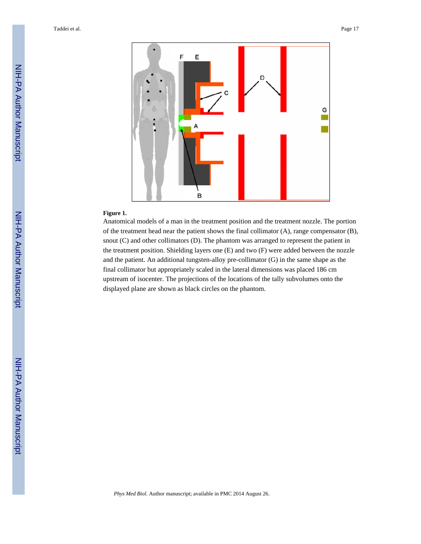

#### **Figure 1.**

Anatomical models of a man in the treatment position and the treatment nozzle. The portion of the treatment head near the patient shows the final collimator (A), range compensator (B), snout (C) and other collimators (D). The phantom was arranged to represent the patient in the treatment position. Shielding layers one (E) and two (F) were added between the nozzle and the patient. An additional tungsten-alloy pre-collimator (G) in the same shape as the final collimator but appropriately scaled in the lateral dimensions was placed 186 cm upstream of isocenter. The projections of the locations of the tally subvolumes onto the displayed plane are shown as black circles on the phantom.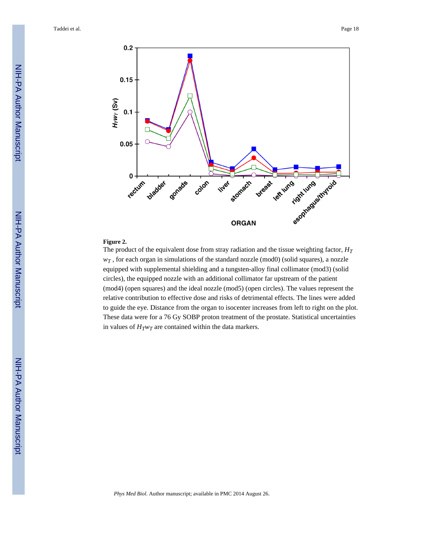

#### **Figure 2.**

The product of the equivalent dose from stray radiation and the tissue weighting factor,  $H_T$  $w<sub>T</sub>$ , for each organ in simulations of the standard nozzle (mod0) (solid squares), a nozzle equipped with supplemental shielding and a tungsten-alloy final collimator (mod3) (solid circles), the equipped nozzle with an additional collimator far upstream of the patient (mod4) (open squares) and the ideal nozzle (mod5) (open circles). The values represent the relative contribution to effective dose and risks of detrimental effects. The lines were added to guide the eye. Distance from the organ to isocenter increases from left to right on the plot. These data were for a 76 Gy SOBP proton treatment of the prostate. Statistical uncertainties in values of  $H_T w_T$  are contained within the data markers.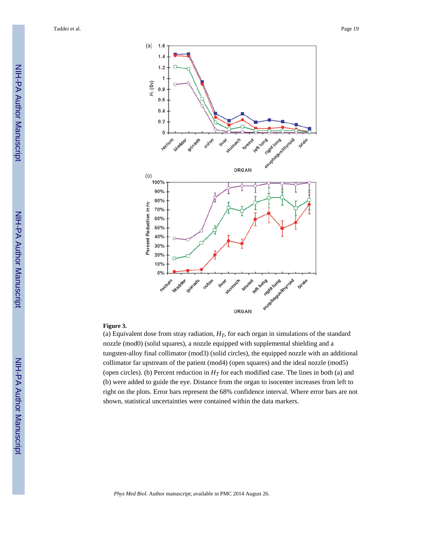

#### **Figure 3.**

(a) Equivalent dose from stray radiation,  $H_T$ , for each organ in simulations of the standard nozzle (mod0) (solid squares), a nozzle equipped with supplemental shielding and a tungsten-alloy final collimator (mod3) (solid circles), the equipped nozzle with an additional collimator far upstream of the patient (mod4) (open squares) and the ideal nozzle (mod5) (open circles). (b) Percent reduction in  $H_T$  for each modified case. The lines in both (a) and (b) were added to guide the eye. Distance from the organ to isocenter increases from left to right on the plots. Error bars represent the 68% confidence interval. Where error bars are not shown, statistical uncertainties were contained within the data markers.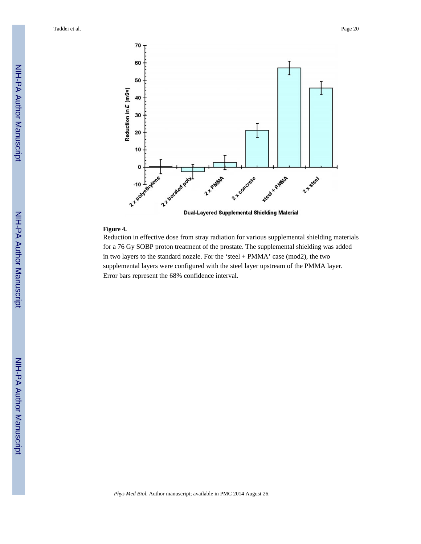

#### **Figure 4.**

Reduction in effective dose from stray radiation for various supplemental shielding materials for a 76 Gy SOBP proton treatment of the prostate. The supplemental shielding was added in two layers to the standard nozzle. For the 'steel + PMMA' case (mod2), the two supplemental layers were configured with the steel layer upstream of the PMMA layer. Error bars represent the 68% confidence interval.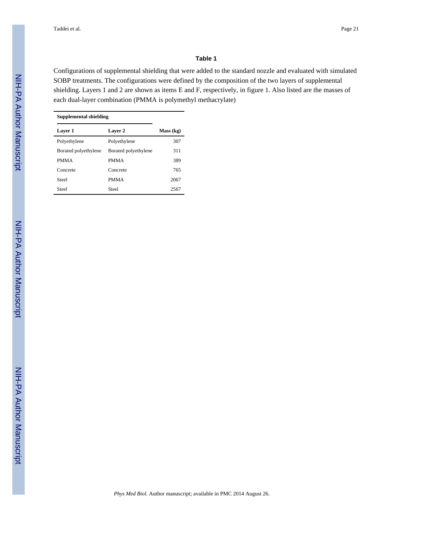#### **Table 1**

Configurations of supplemental shielding that were added to the standard nozzle and evaluated with simulated SOBP treatments. The configurations were defined by the composition of the two layers of supplemental shielding. Layers 1 and 2 are shown as items E and F, respectively, in figure 1. Also listed are the masses of each dual-layer combination (PMMA is polymethyl methacrylate)

| <b>Supplemental shielding</b> |                      |           |
|-------------------------------|----------------------|-----------|
| Layer 1                       | <b>Layer 2</b>       | Mass (kg) |
| Polyethylene                  | Polyethylene         | 307       |
| Borated polyethylene          | Borated polyethylene | 311       |
| <b>PMMA</b>                   | <b>PMMA</b>          | 389       |
| Concrete                      | Concrete             | 765       |
| <b>Steel</b>                  | <b>PMMA</b>          | 2067      |
| Steel                         | <b>Steel</b>         | 2567      |